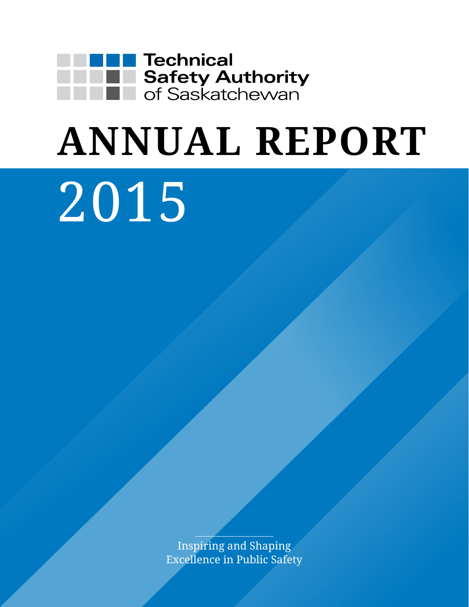

# **ANNUAL REPORT**

# 2015

Inspiring and Shaping Excellence in Public Safety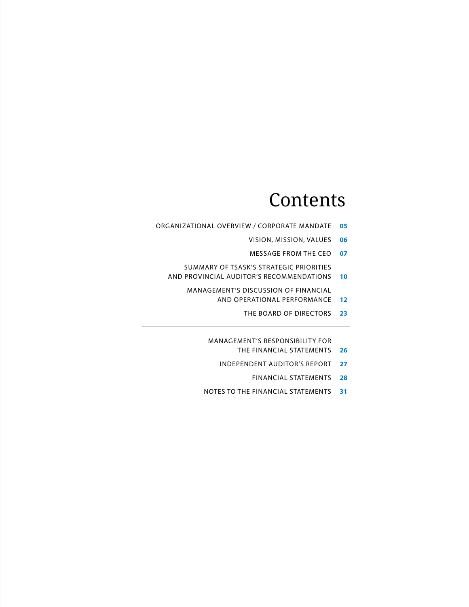### **Contents**

- organizational overview / Corporate mandate **05**
	- vision, mission, values **06**
	- message from the Ceo **07**
	- Summary of TSASK's strategic priorities and provincial auditor's recommendations **10**
		- Management's discussion of financial
			- and operational performance **12**
				- The Board of directors **23**

Management's responsibility for

- the financial statements **26**
- independent auditor's report **27**
	- financial statements **28**
- notes to the financial statements **31**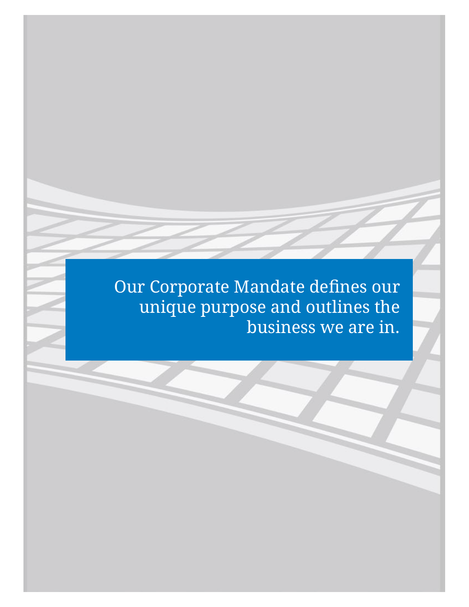Our Corporate Mandate defines our unique purpose and outlines the business we are in.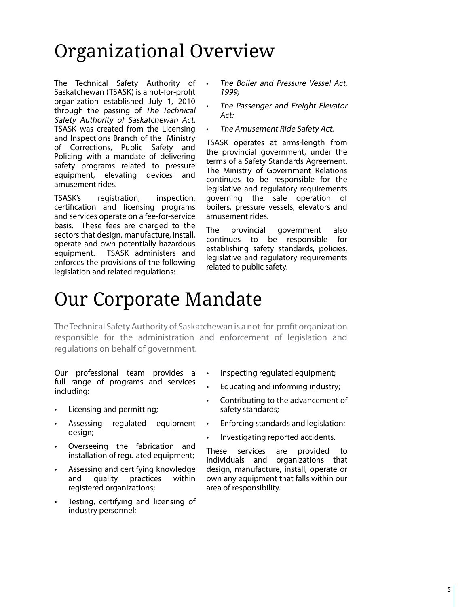# Organizational Overview

The Technical Safety Authority of Saskatchewan (TSASK) is a not-for-profit organization established July 1, 2010 through the passing of The Technical Safety Authority of Saskatchewan Act. TSASK was created from the Licensing and Inspections Branch of the Ministry of Corrections, Public Safety and Policing with a mandate of delivering safety programs related to pressure equipment, elevating devices and amusement rides.

TSASK's registration, inspection, certification and licensing programs and services operate on a fee-for-service basis. These fees are charged to the sectors that design, manufacture, install, operate and own potentially hazardous equipment. TSASK administers and enforces the provisions of the following legislation and related regulations:

- The Boiler and Pressure Vessel Act, 1999;
- The Passenger and Freight Elevator Act;
- The Amusement Ride Safety Act.

TSASK operates at arms-length from the provincial government, under the terms of a Safety Standards Agreement. The Ministry of Government Relations continues to be responsible for the legislative and regulatory requirements governing the safe operation of boilers, pressure vessels, elevators and amusement rides.

The provincial government also continues to be responsible for establishing safety standards, policies, legislative and regulatory requirements related to public safety.

### Our Corporate Mandate

The Technical Safety Authority of Saskatchewan is a not-for-profit organization responsible for the administration and enforcement of legislation and regulations on behalf of government.

Our professional team provides a full range of programs and services including:

- Licensing and permitting;
- Assessing regulated equipment design;
- Overseeing the fabrication and installation of regulated equipment;
- Assessing and certifying knowledge and quality practices within registered organizations;
- Testing, certifying and licensing of industry personnel;
- Inspecting regulated equipment;
- Educating and informing industry;
- Contributing to the advancement of safety standards;
- Enforcing standards and legislation;
- Investigating reported accidents.

These services are provided to individuals and organizations that design, manufacture, install, operate or own any equipment that falls within our area of responsibility.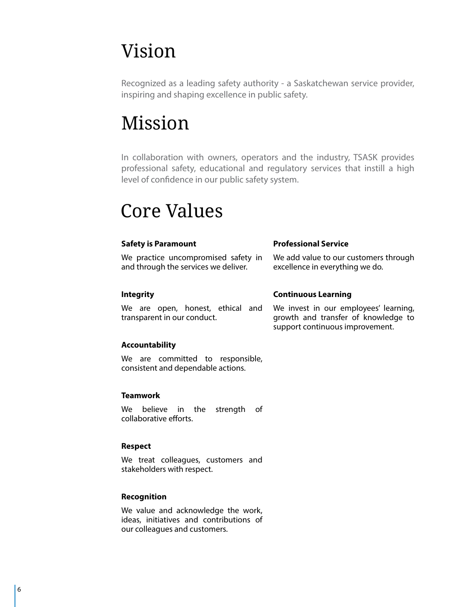# Vision

Recognized as a leading safety authority - a Saskatchewan service provider, inspiring and shaping excellence in public safety.

# Mission

In collaboration with owners, operators and the industry, TSASK provides professional safety, educational and regulatory services that instill a high level of confidence in our public safety system.

## Core Values

| <b>Safety is Paramount</b>                                                  | <b>Professional Service</b>                                                                                     |  |  |  |  |  |
|-----------------------------------------------------------------------------|-----------------------------------------------------------------------------------------------------------------|--|--|--|--|--|
| We practice uncompromised safety in<br>and through the services we deliver. | We add value to our customers through<br>excellence in everything we do.                                        |  |  |  |  |  |
| <b>Integrity</b>                                                            | <b>Continuous Learning</b>                                                                                      |  |  |  |  |  |
| We are open, honest, ethical and<br>transparent in our conduct.             | We invest in our employees' learning,<br>growth and transfer of knowledge to<br>support continuous improvement. |  |  |  |  |  |
| Accountability                                                              |                                                                                                                 |  |  |  |  |  |
| re are committed to reconncible                                             |                                                                                                                 |  |  |  |  |  |

We are committed to responsible, consistent and dependable actions.

### **Teamwork**

We believe in the strength of collaborative efforts.

### **Respect**

We treat colleagues, customers and stakeholders with respect.

### **Recognition**

We value and acknowledge the work, ideas, initiatives and contributions of our colleagues and customers.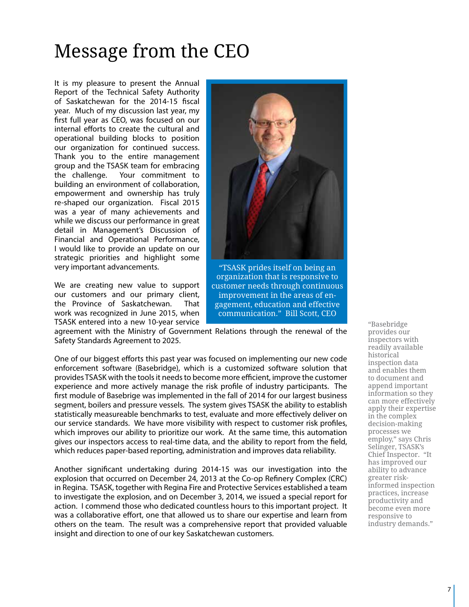# Message from the CEO

It is my pleasure to present the Annual Report of the Technical Safety Authority of Saskatchewan for the 2014-15 fiscal year. Much of my discussion last year, my first full year as CEO, was focused on our internal efforts to create the cultural and operational building blocks to position our organization for continued success. Thank you to the entire management group and the TSASK team for embracing the challenge. Your commitment to building an environment of collaboration, empowerment and ownership has truly re-shaped our organization. Fiscal 2015 was a year of many achievements and while we discuss our performance in great detail in Management's Discussion of Financial and Operational Performance, I would like to provide an update on our strategic priorities and highlight some very important advancements.

We are creating new value to support our customers and our primary client, the Province of Saskatchewan. That work was recognized in June 2015, when TSASK entered into a new 10-year service



"TSASK prides itself on being an organization that is responsive to customer needs through continuous improvement in the areas of engagement, education and effective communication." Bill Scott, CEO

agreement with the Ministry of Government Relations through the renewal of the Safety Standards Agreement to 2025.

One of our biggest efforts this past year was focused on implementing our new code enforcement software (Basebridge), which is a customized software solution that provides TSASK with the tools it needs to become more efficient, improve the customer experience and more actively manage the risk profile of industry participants. The first module of Basebrige was implemented in the fall of 2014 for our largest business segment, boilers and pressure vessels. The system gives TSASK the ability to establish statistically measureable benchmarks to test, evaluate and more effectively deliver on our service standards. We have more visibility with respect to customer risk profiles, which improves our ability to prioritize our work. At the same time, this automation gives our inspectors access to real-time data, and the ability to report from the field, which reduces paper-based reporting, administration and improves data reliability.

Another significant undertaking during 2014-15 was our investigation into the explosion that occurred on December 24, 2013 at the Co-op Refinery Complex (CRC) in Regina. TSASK, together with Regina Fire and Protective Services established a team to investigate the explosion, and on December 3, 2014, we issued a special report for action. I commend those who dedicated countless hours to this important project. It was a collaborative effort, one that allowed us to share our expertise and learn from others on the team. The result was a comprehensive report that provided valuable insight and direction to one of our key Saskatchewan customers.

"Basebridge provides our inspectors with readily available historical inspection data and enables them to document and append important information so they can more effectively apply their expertise in the complex decision-making processes we employ," says Chris Selinger, TSASK's Chief Inspector. "It has improved our ability to advance greater riskinformed inspection practices, increase productivity and become even more responsive to industry demands."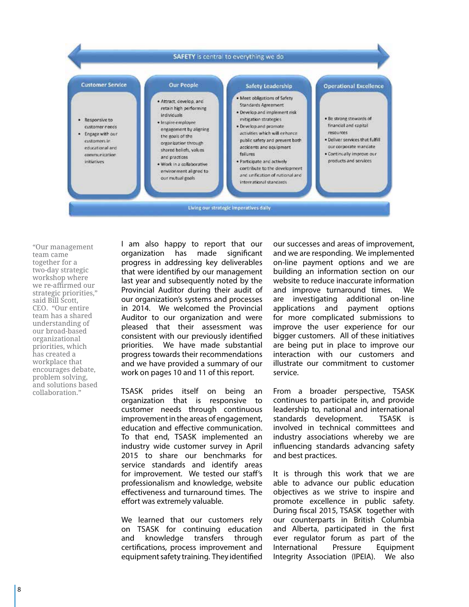

"Our management team came together for a two-day strategic workshop where we re-affirmed our strategic priorities," said Bill Scott, CEO. "Our entire team has a shared understanding of our broad-based organizational priorities, which has created a workplace that encourages debate, problem solving, and solutions based collaboration."

I am also happy to report that our organization has made significant progress in addressing key deliverables that were identified by our management last year and subsequently noted by the Provincial Auditor during their audit of our organization's systems and processes in 2014. We welcomed the Provincial Auditor to our organization and were pleased that their assessment was consistent with our previously identified priorities. We have made substantial progress towards their recommendations and we have provided a summary of our work on pages 10 and 11 of this report.

TSASK prides itself on being an organization that is responsive to customer needs through continuous improvement in the areas of engagement, education and effective communication. To that end, TSASK implemented an industry wide customer survey in April 2015 to share our benchmarks for service standards and identify areas for improvement. We tested our staff's professionalism and knowledge, website effectiveness and turnaround times. The effort was extremely valuable.

We learned that our customers rely on TSASK for continuing education and knowledge transfers through certifications, process improvement and equipment safety training. They identified

our successes and areas of improvement, and we are responding. We implemented on-line payment options and we are building an information section on our website to reduce inaccurate information and improve turnaround times. We are investigating additional on-line applications and payment options for more complicated submissions to improve the user experience for our bigger customers. All of these initiatives are being put in place to improve our interaction with our customers and illustrate our commitment to customer service.

From a broader perspective, TSASK continues to participate in, and provide leadership to, national and international standards development. TSASK is involved in technical committees and industry associations whereby we are influencing standards advancing safety and best practices.

It is through this work that we are able to advance our public education objectives as we strive to inspire and promote excellence in public safety. During fiscal 2015, TSASK together with our counterparts in British Columbia and Alberta, participated in the first ever regulator forum as part of the International Pressure Equipment Integrity Association (IPEIA). We also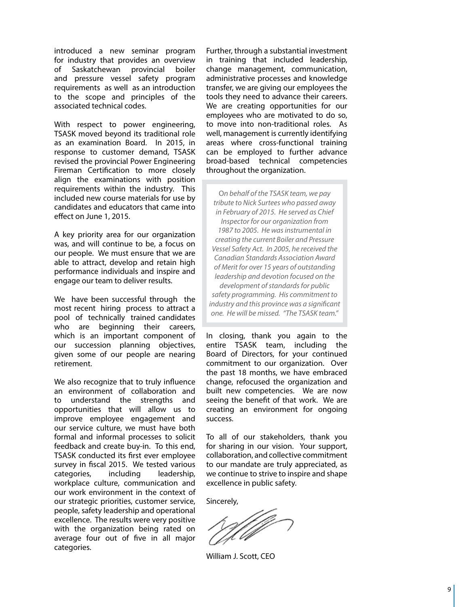introduced a new seminar program for industry that provides an overview of Saskatchewan provincial boiler and pressure vessel safety program requirements as well as an introduction to the scope and principles of the associated technical codes.

With respect to power engineering, TSASK moved beyond its traditional role as an examination Board. In 2015, in response to customer demand, TSASK revised the provincial Power Engineering Fireman Certification to more closely align the examinations with position requirements within the industry. This included new course materials for use by candidates and educators that came into effect on June 1, 2015.

A key priority area for our organization was, and will continue to be, a focus on our people. We must ensure that we are able to attract, develop and retain high performance individuals and inspire and engage our team to deliver results. We have been successful through the

most recent hiring process to attract a pool of technically trained candidates who are beginning their careers, which is an important component of our succession planning objectives, given some of our people are nearing retirement.

We also recognize that to truly influence an environment of collaboration and to understand the strengths and opportunities that will allow us to improve employee engagement and our service culture, we must have both formal and informal processes to solicit feedback and create buy-in. To this end, TSASK conducted its first ever employee survey in fiscal 2015. We tested various categories, including leadership, workplace culture, communication and our work environment in the context of our strategic priorities, customer service, people, safety leadership and operational excellence. The results were very positive with the organization being rated on average four out of five in all major categories.

Further, through a substantial investment in training that included leadership, change management, communication, administrative processes and knowledge transfer, we are giving our employees the tools they need to advance their careers. We are creating opportunities for our employees who are motivated to do so, to move into non-traditional roles. As well, management is currently identifying areas where cross-functional training can be employed to further advance broad-based technical competencies throughout the organization.

On behalf of the TSASK team, we pay<br>tribute to Nick Surtees who passed awas<br>in February of 2015. He served as Chie<br>Inspector for our organization from<br>1987 to 2005. He was instrumental in<br>creating the current Boiler and Pr *tribute to Nick Surtees who passed away in February of 2015. He served as Chief Inspector for our organization from 1987 to 2005. He was instrumental in creating the current Boiler and Pressure Vessel Safety Act. In 2005, he received the Canadian Standards Association Award of Merit for over 15 years of outstanding leadership and devotion focused on the development of standards for public safety programming. His commitment to industry and this province was a significant one. He will be missed. "The TSASK team."*

In closing, thank you again to the entire TSASK team, including the Board of Directors, for your continued commitment to our organization. Over the past 18 months, we have embraced change, refocused the organization and built new competencies. We are now seeing the benefit of that work. We are creating an environment for ongoing success.

To all of our stakeholders, thank you for sharing in our vision. Your support, collaboration, and collective commitment to our mandate are truly appreciated, as we continue to strive to inspire and shape excellence in public safety.

Sincerely,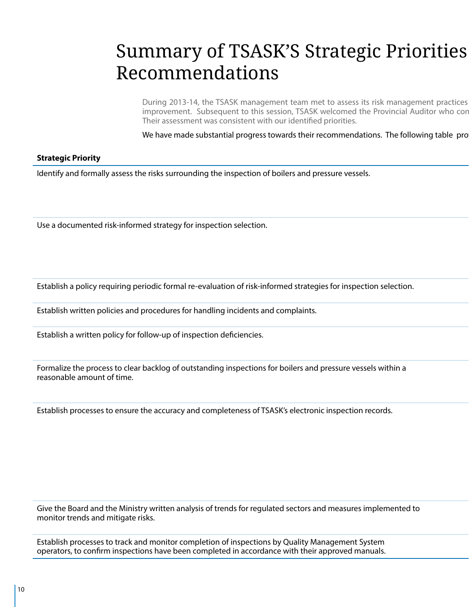# Summary of TSASK'S Strategic Priorities Recommendations

During 2013-14, the TSASK management team met to assess its risk management practices improvement. Subsequent to this session, TSASK welcomed the Provincial Auditor who cor Their assessment was consistent with our identified priorities.

We have made substantial progress towards their recommendations. The following table pro

### **Strategic Priority TSASK Response is a status of the status of the status of the status of the status of the status of the status of the status of the status of the status of the status of the status of the status of th**

Identify and formally assess the risks surrounding the inspection of boilers and pressure vessels.

Use a documented risk-informed strategy for inspection selection.

Establish a policy requiring periodic formal re-evaluation of risk-informed strategies for inspection selection.

Establish written policies and procedures for handling incidents and complaints.

Establish a written policy for follow-up of inspection deficiencies.

Formalize the process to clear backlog of outstanding inspections for boilers and pressure vessels within a reasonable amount of time.

Establish processes to ensure the accuracy and completeness of TSASK's electronic inspection records.

Give the Board and the Ministry written analysis of trends for regulated sectors and measures implemented to monitor trends and mitigate risks.

Establish processes to track and monitor completion of inspections by Quality Management System operators, to confirm inspections have been completed in accordance with their approved manuals.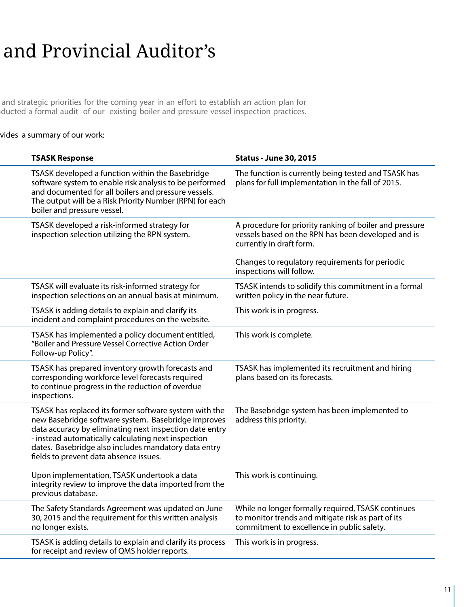# and Provincial Auditor's

and strategic priorities for the coming year in an effort to establish an action plan for imuprovement and audit of our existing boiler and pressure vessel inspection practices.

### vides a summary of our work:

| <b>TSASK Response</b>                                                                                                                                                                                                                                                                                                             | <b>Status - June 30, 2015</b>                                                                                                                          |
|-----------------------------------------------------------------------------------------------------------------------------------------------------------------------------------------------------------------------------------------------------------------------------------------------------------------------------------|--------------------------------------------------------------------------------------------------------------------------------------------------------|
| TSASK developed a function within the Basebridge<br>software system to enable risk analysis to be performed<br>and documented for all boilers and pressure vessels.<br>The output will be a Risk Priority Number (RPN) for each<br>boiler and pressure vessel.                                                                    | The function is currently being tested and TSASK has<br>plans for full implementation in the fall of 2015.                                             |
| TSASK developed a risk-informed strategy for<br>inspection selection utilizing the RPN system.                                                                                                                                                                                                                                    | A procedure for priority ranking of boiler and pressure<br>vessels based on the RPN has been developed and is<br>currently in draft form.              |
|                                                                                                                                                                                                                                                                                                                                   | Changes to regulatory requirements for periodic<br>inspections will follow.                                                                            |
| TSASK will evaluate its risk-informed strategy for<br>inspection selections on an annual basis at minimum.                                                                                                                                                                                                                        | TSASK intends to solidify this commitment in a formal<br>written policy in the near future.                                                            |
| TSASK is adding details to explain and clarify its<br>incident and complaint procedures on the website.                                                                                                                                                                                                                           | This work is in progress.                                                                                                                              |
| TSASK has implemented a policy document entitled,<br>"Boiler and Pressure Vessel Corrective Action Order<br>Follow-up Policy".                                                                                                                                                                                                    | This work is complete.                                                                                                                                 |
| TSASK has prepared inventory growth forecasts and<br>corresponding workforce level forecasts required<br>to continue progress in the reduction of overdue<br>inspections.                                                                                                                                                         | TSASK has implemented its recruitment and hiring<br>plans based on its forecasts.                                                                      |
| TSASK has replaced its former software system with the<br>new Basebridge software system. Basebridge improves<br>data accuracy by eliminating next inspection date entry<br>- instead automatically calculating next inspection<br>dates. Basebridge also includes mandatory data entry<br>fields to prevent data absence issues. | The Basebridge system has been implemented to<br>address this priority.                                                                                |
| Upon implementation, TSASK undertook a data<br>integrity review to improve the data imported from the<br>previous database.                                                                                                                                                                                                       | This work is continuing.                                                                                                                               |
| The Safety Standards Agreement was updated on June<br>30, 2015 and the requirement for this written analysis<br>no longer exists.                                                                                                                                                                                                 | While no longer formally required, TSASK continues<br>to monitor trends and mitigate risk as part of its<br>commitment to excellence in public safety. |
| TSASK is adding details to explain and clarify its process<br>for receipt and review of QMS holder reports.                                                                                                                                                                                                                       | This work is in progress.                                                                                                                              |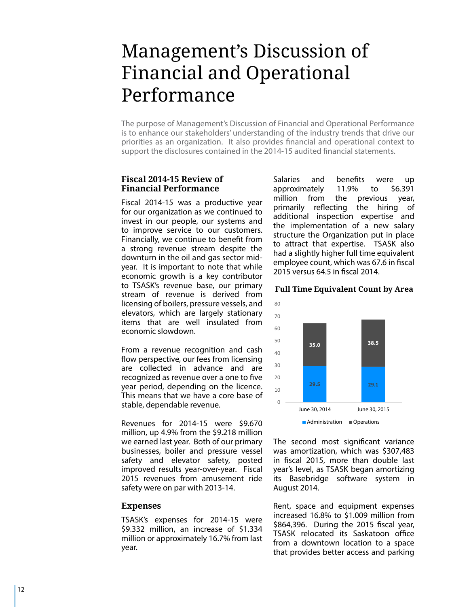### Management's Discussion of Financial and Operational Performance

The purpose of Management's Discussion of Financial and Operational Performance is to enhance our stakeholders' understanding of the industry trends that drive our priorities as an organization. It also provides financial and operational context to support the disclosures contained in the 2014-15 audited financial statements.

### **Fiscal 2014-15 Review of Financial Performance**

Fiscal 2014-15 was a productive year for our organization as we continued to invest in our people, our systems and to improve service to our customers. Financially, we continue to benefit from a strong revenue stream despite the downturn in the oil and gas sector midyear. It is important to note that while economic growth is a key contributor to TSASK's revenue base, our primary stream of revenue is derived from licensing of boilers, pressure vessels, and elevators, which are largely stationary items that are well insulated from economic slowdown.<br>From a revenue recognition and cash

flow perspective, our fees from licensing are collected in advance and are recognized as revenue over a one to five year period, depending on the licence. This means that we have a core base of stable, dependable revenue.

Revenues for 2014-15 were \$9.670 million, up 4.9% from the \$9.218 million we earned last year. Both of our primary businesses, boiler and pressure vessel safety and elevator safety, posted improved results year-over-year. Fiscal 2015 revenues from amusement ride safety were on par with 2013-14.

#### **Expenses**

TSASK's expenses for 2014-15 were \$9.332 million, an increase of \$1.334 million or approximately 16.7% from last year.

Salaries and benefits were up approximately 11.9% to \$6.391 million from the previous year, primarily reflecting the hiring of additional inspection expertise and the implementation of a new salary structure the Organization put in place to attract that expertise. TSASK also had a slightly higher full time equivalent employee count, which was 67.6 in fiscal

#### **Full Time Equivalent Count by Area**



was amortization, which was \$307,483 in fiscal 2015, more than double last year's level, as TSASK began amortizing its Basebridge software system in<br>August 2014.<br>Rent, space and equipment expenses

increased 16.8% to \$1.009 million from \$864,396. During the 2015 fiscal year, TSASK relocated its Saskatoon office from a downtown location to a space that provides better access and parking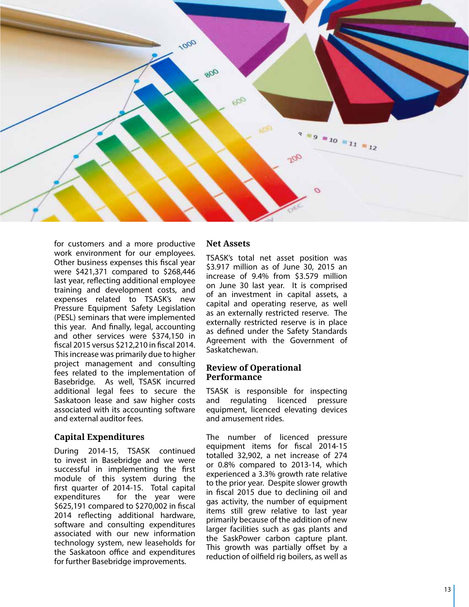

for customers and a more productive work environment for our employees. Other business expenses this fiscal year were \$421,371 compared to \$268,446 last year, reflecting additional employee training and development costs, and<br>expenses related to TSASK's new Pressure Equipment Safety Legislation (PESL) seminars that were implemented this year. And finally, legal, accounting and other services were \$374,150 in fiscal 2015 versus \$212,210 in fiscal 2014. This increase was primarily due to higher project management and consulting fees related to the implementation of Basebridge. As well, TSASK incurred additional legal fees to secure the Saskatoon lease and saw higher costs associated with its accounting software and external auditor fees.

#### **Capital Expenditures**

During 2014-15, TSASK continued to invest in Basebridge and we were successful in implementing the first module of this system during the first quarter of 2014-15. Total capital expenditures for the year were \$625,191 compared to \$270,002 in fiscal 2014 reflecting additional hardware, software and consulting expenditures associated with our new information technology system, new leaseholds for the Saskatoon office and expenditures for further Basebridge improvements.

#### **Net Assets**

TSASK's total net asset position was \$3.917 million as of June 30, 2015 an increase of 9.4% from \$3.579 million on June 30 last year. It is comprised of an investment in capital assets, a capital and operating reserve, as well as an externally restricted reserve. The externally restricted reserve is in place as defined under the Safety Standards Agreement with the Government of Saskatchewan.

#### **Review of Operational Performance**

TSASK is responsible for inspecting and regulating licenced pressure equipment, licenced elevating devices and amusement rides.<br>The number of licenced pressure

equipment items for fiscal 2014-15 totalled 32,902, a net increase of 274 or 0.8% compared to 2013-14, which experienced a 3.3% growth rate relative to the prior year. Despite slower growth in fiscal 2015 due to declining oil and gas activity, the number of equipment items still grew relative to last year primarily because of the addition of new larger facilities such as gas plants and the Sask Power carbon capture plant. This growth was partially offset by a reduction of oilfield rig boilers, as well as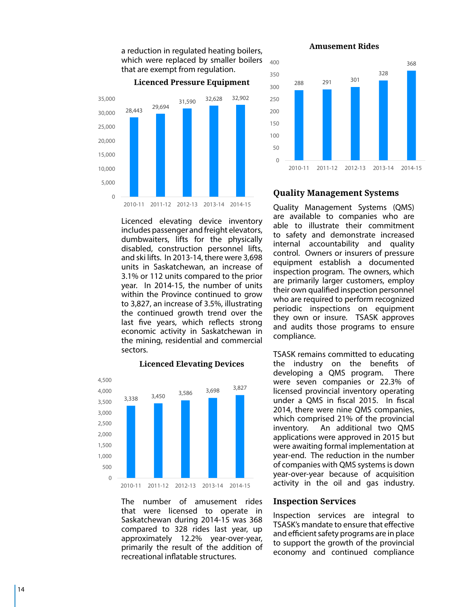

a reduction in regulated heating boilers,

Licenced elevating device inventory includes passenger and freight elevators, dumbwaiters, lifts for the physically disabled, construction personnel lifts, and ski lifts. In 2013-14, there were 3,698 units in Saskatchewan, an increase of 3.1% or 112 units compared to the prior year. In 2014-15, the number of units within the Province continued to grow to 3,827, an increase of 3.5%, illustrating the continued growth trend over the last five years, which reflects strong economic activity in Saskatchewan in the mining, residential and commercial sectors.

### **Licenced Elevating Devices**



The number of amusement rides that were licensed to operate in Saskatchewan during 2014-15 was 368 compared to 328 rides last year, up approximately 12.2% year-over-year, primarily the result of the addition of recreational inflatable structures.

**Amusement Rides**



#### **Quality Management Systems**

Quality Management Systems (QMS) are available to companies who are able to illustrate their commitment to safety and demonstrate increased internal accountability and quality control. Owners or insurers of pressure equipment establish a documented inspection program. The owners, which are primarily larger customers, employ their own qualified inspection personnel who are required to perform recognized periodic inspections on equipment they own or insure. TSASK approves and audits those programs to ensure compliance.

TSASK remains committed to educating the industry on the benefits of developing a QMS program. There were seven companies or 22.3% of licensed provincial inventory operating under a QMS in fiscal 2015. In fiscal 2014, there were nine QMS companies, which comprised 21% of the provincial inventory. An additional two QMS applications were approved in 2015 but were awaiting formal implementation at year-end. The reduction in the number of companies with QMS systems is down year-over-year because of acquisition activity in the oil and gas industry.

#### **Inspection Services**

Inspection services are integral to TSASK's mandate to ensure that effective and efficient safety programs are in place to support the growth of the provincial economy and continued compliance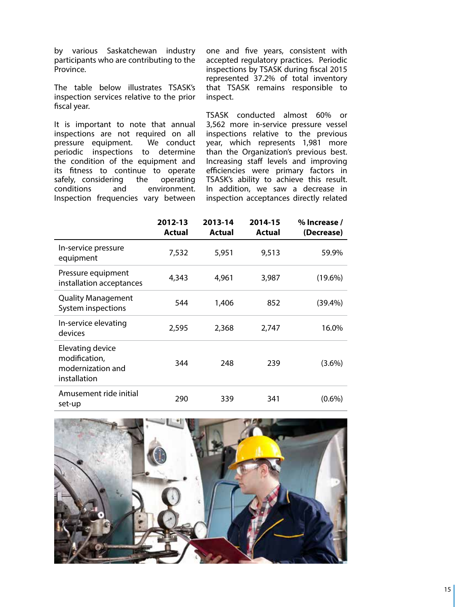by various Saskatchewan industry participants who are contributing to the Province.

The table below illustrates TSASK's inspection services relative to the prior fiscal year.

It is important to note that annual inspections are not required on all<br>pressure equipment. We conduct pressure equipment. periodic inspections to determine the condition of the equipment and its fitness to continue to operate safely, considering the operating conditions and environment. Inspection frequencies vary between

one and five years, consistent with accepted regulatory practices. Periodic inspections by TSASK during fiscal 2015 represented 37.2% of total inventory that TSASK remains responsible to inspect.

TSASK conducted almost 60% or 3,562 more in-service pressure vessel inspections relative to the previous year, which represents 1,981 more than the Organization's previous best. Increasing staff levels and improving efficiencies were primary factors in TSASK's ability to achieve this result. In addition, we saw a decrease in inspection acceptances directly related

|                                                                        | 2012-13<br>Actual | 2013-14<br>Actual | 2014-15<br>Actual | % Increase /<br>(Decrease) |
|------------------------------------------------------------------------|-------------------|-------------------|-------------------|----------------------------|
| In-service pressure<br>equipment                                       | 7,532             | 5,951             | 9,513             | 59.9%                      |
| Pressure equipment<br>installation acceptances                         | 4,343             | 4,961             | 3,987             | $(19.6\%)$                 |
| <b>Quality Management</b><br>System inspections                        | 544               | 1,406             | 852               | (39.4%)                    |
| In-service elevating<br>devices                                        | 2,595             | 2,368             | 2,747             | 16.0%                      |
| Elevating device<br>modification,<br>modernization and<br>installation | 344               | 248               | 239               | $(3.6\%)$                  |
| Amusement ride initial<br>set-up                                       | 290               | 339               | 341               | $(0.6\%)$                  |

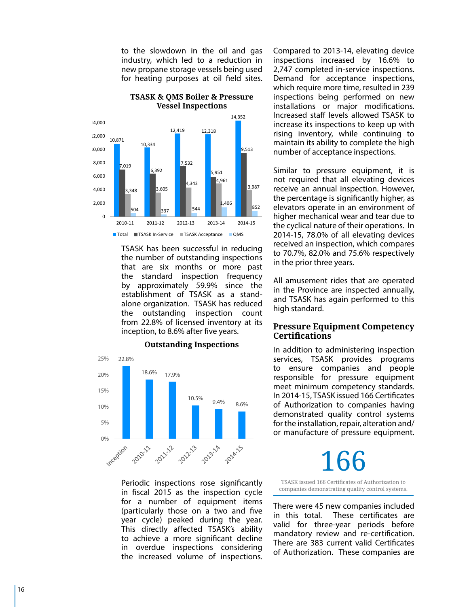to the slowdown in the oil and gas industry, which led to a reduction in new propane storage vessels being used for heating purposes at oil field sites.



TSASK has been successful in reducing the number of outstanding inspections that are six months or more past the standard inspection frequency by approximately 59.9% since the establishment of TSASK as a standalone organization. TSASK has reduced the outstanding inspection count from 22.8% of licensed inventory at its inception, to 8.6% after five years.



Periodic inspections rose significantly in fiscal 2015 as the inspection cycle for a number of equipment items (particularly those on a two and five year cycle) peaked during the year. This directly affected TSASK's ability to achieve a more significant decline in overdue inspections considering the increased volume of inspections. Compared to 2013-14, elevating device inspections increased by 16.6% to 2,747 completed in-service inspections. Demand for acceptance inspections, which require more time, resulted in 239 inspections being performed on new installations or major modifications. Increased staff levels allowed TSASK to increase its inspections to keep up with rising inventory, while continuing to maintain its ability to complete the high number of acceptance inspections.

Similar to pressure equipment, it is not required that all elevating devices receive an annual inspection. However, the percentage is significantly higher, as elevators operate in an environment of higher mechanical wear and tear due to the cyclical nature of their operations. In 2014-15, 78.0% of all elevating devices received an inspection, which compares to 70.7%, 82.0% and 75.6% respectively in the prior three years.

All amusement rides that are operated in the Province are inspected annually, and TSASK has again performed to this high standard.

### **Pressure Equipment Competency Certifications**

In addition to administering inspection services, TSASK provides programs to ensure companies and people responsible for pressure equipment meet minimum competency standards. In 2014-15, TSASK issued 166 Certificates of Authorization to companies having demonstrated quality control systems for the installation, repair, alteration and/ or manufacture of pressure equipment.

166

TSASK issued 166 Certificates of Authorization to companies demonstrating quality control systems.

There were 45 new companies included in this total. These certificates are valid for three-year periods before mandatory review and re-certification. There are 383 current valid Certificates of Authorization. These companies are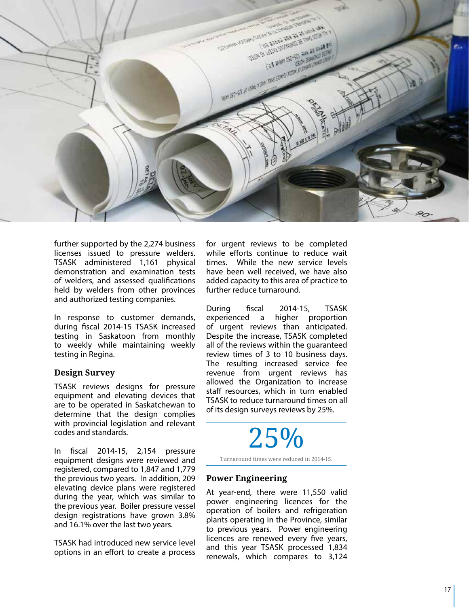

further supported by the 2,274 business licenses issued to pressure welders. TSASK administered 1,161 physical demonstration and examination tests of welders, and assessed qualifications held by welders from other provinces and authorized testing companies.

In response to customer demands, during fiscal 2014-15 TSASK increased testing in Saskatoon from monthly to weekly while maintaining weekly testing in Regina.

#### **Design Survey**

TSASK reviews designs for pressure equipment and elevating devices that are to be operated in Saskatchewan to determine that the design complies with provincial legislation and relevant codes and standards.

In fiscal 2014-15, 2,154 pressure equipment designs were reviewed and registered, compared to 1,847 and 1,779 the previous two years. In addition, 209 elevating device plans were registered during the year, which was similar to the previous year. Boiler pressure vessel design registrations have grown 3.8% and 16.1% over the last two years.

TSASK had introduced new service level options in an effort to create a process for urgent reviews to be completed while efforts continue to reduce wait times. While the new service levels have been well received, we have also added capacity to this area of practice to further reduce turnaround.

During fiscal 2014-15, TSASK experienced a higher proportion<br>of urgent reviews than anticipated. Despite the increase, TSASK completed. all of the reviews within the guaranteed review times of 3 to 10 business days. The resulting increased service fee revenue from urgent reviews has allowed the Organization to increase staff resources, which in turn enabled TSASK to reduce turnaround times on all of its design surveys reviews by 25%.

# 25%

Turnaround times were reduced in 2014-15.

### **Power Engineering**

At year-end, there were 11,550 valid power engineering licences for the operation of boilers and refrigeration plants operating in the Province, similar to previous years. Power engineering licences are renewed every five years, and this year TSASK processed 1,834 renewals, which compares to 3,124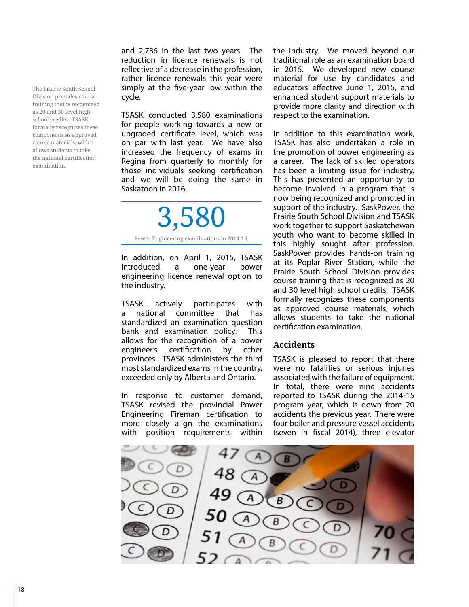The Prairie South School Division provides course training that is recognized as 20 and 30 level high school credits. TSASK formally recognizes these components as approved course materials, which allows students to take the national certification examination.

and 2,736 in the last two years. The reduction in licence renewals is not reflective of a decrease in the profession, rather licence renewals this year were simply at the five-year low within the cycle.

TSASK conducted 3,580 examinations for people working towards a new or upgraded certificate level, which was on par with last year. We have also increased the frequency of exams in Regina from quarterly to monthly for those individuals seeking certification and we will be doing the same in Saskatoon in 2016.

3,580 Power Engineering examinations in 2014-15.

In addition, on April 1, 2015, TSASK introduced a one-year power engineering licence renewal option to the industry.

TSASK actively participates with a national committee that has standardized an examination question bank and examination policy. This allows for the recognition of a power engineer's certification by other provinces. TSASK administers the third most standardized exams in the country, exceeded only by Alberta and Ontario.

In response to customer demand, TSASK revised the provincial Power Engineering Fireman certification to more closely align the examinations with position requirements within

the industry. We moved beyond our traditional role as an examination board in 2015. We developed new course material for use by candidates and educators effective June 1, 2015, and enhanced student support materials to provide more clarity and direction with respect to the examination.

In addition to this examination work, TSASK has also undertaken a role in the promotion of power engineering as a career. The lack of skilled operators has been a limiting issue for industry. This has presented an opportunity to become involved in a program that is now being recognized and promoted in support of the industry. SaskPower, the Prairie South School Division and TSASK work together to support Saskatchewan youth who want to become skilled in this highly sought after profession. SaskPower provides hands-on training at its Poplar River Station, while the Prairie South School Division provides course training that is recognized as 20 and 30 level high school credits. TSASK formally recognizes these components as approved course materials, which allows students to take the national certification examination.

### **Accidents**

TSASK is pleased to report that there were no fatalities or serious injuries associated with the failure of equipment. In total, there were nine accidents reported to TSASK during the 2014-15 program year, which is down from 20 accidents the previous year. There were four boiler and pressure vessel accidents (seven in fiscal 2014), three elevator

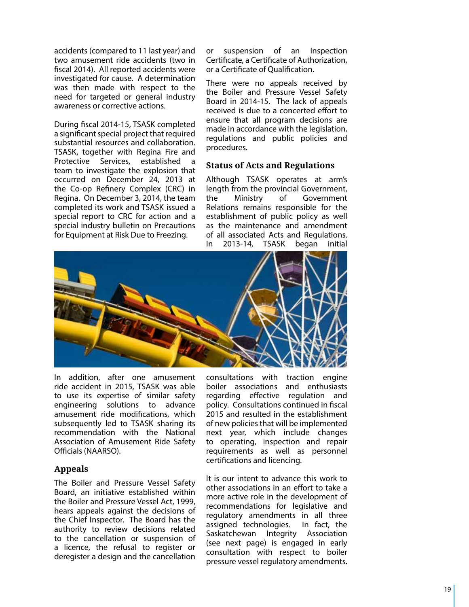accidents (compared to 11 last year) and two amusement ride accidents (two in fiscal 2014). All reported accidents were investigated for cause. A determination was then made with respect to the need for targeted or general industry awareness or corrective actions.

During fiscal 2014-15, TSASK completed a significant special project that required substantial resources and collaboration. TSASK, together with Regina Fire and Protective Services, established a team to investigate the explosion that occurred on December 24, 2013 at the Co-op Refinery Complex (CRC) in Regina. On December 3, 2014, the team completed its work and TSASK issued a special report to CRC for action and a special industry bulletin on Precautions for Equipment at Risk Due to Freezing.

or suspension of an Inspection Certificate, a Certificate of Authorization, or a Certificate of Qualification.

There were no appeals received by the Boiler and Pressure Vessel Safety Board in 2014-15. The lack of appeals received is due to a concerted effort to ensure that all program decisions are made in accordance with the legislation, regulations and public policies and procedures.

#### **Status of Acts and Regulations**

Although TSASK operates at arm's length from the provincial Government, the Ministry of Government Relations remains responsible for the establishment of public policy as well as the maintenance and amendment of all associated Acts and Regulations. In 2013-14, TSASK began initial



In addition, after one amusement ride accident in 2015, TSASK was able to use its expertise of similar safety engineering solutions to advance amusement ride modifications, which subsequently led to TSASK sharing its recommendation with the National Association of Amusement Ride Safety Officials (NAARSO).

### **Appeals**

The Boiler and Pressure Vessel Safety Board, an initiative established within the Boiler and Pressure Vessel Act, 1999, hears appeals against the decisions of the Chief Inspector. The Board has the authority to review decisions related to the cancellation or suspension of a licence, the refusal to register or deregister a design and the cancellation

consultations with traction engine boiler associations and enthusiasts regarding effective regulation and policy. Consultations continued in fiscal 2015 and resulted in the establishment of new policies that will be implemented next year, which include changes to operating, inspection and repair requirements as well as personnel certifications and licencing.

It is our intent to advance this work to other associations in an effort to take a more active role in the development of recommendations for legislative and regulatory amendments in all three assigned technologies. In fact, the Saskatchewan Integrity Association (see next page) is engaged in early consultation with respect to boiler pressure vessel regulatory amendments.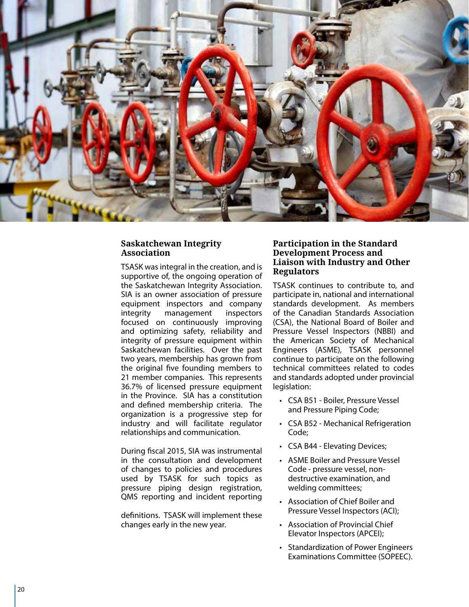

### **Saskatchewan Integrity Association**

TSASK was integral in the creation, and is supportive of, the ongoing operation of the Saskatchewan Integrity Association. SIA is an owner association of pressure equipment inspectors and company integrity management inspectors focused on continuously improving and optimizing safety, reliability and integrity of pressure equipment within Saskatchewan facilities. Over the past two years, membership has grown from the original five founding members to 21 member companies. This represents 36.7% of licensed pressure equipment in the Province. SIA has a constitution and defined membership criteria. The organization is a progressive step for industry and will facilitate regulator relationships and communication. During fiscal 2015, SIA was instrumental

in the consultation and development of changes to policies and procedures used by TSASK for such topics as pressure piping design registration, QMS reporting and incident reporting

definitions. TSASK will implement these changes early in the new year.

### **Participation in the Standard Development Process and Liaison with Industry and Other Regulators**

TSASK continues to contribute to, and participate in, national and international standards development. As members of the Canadian Standards Association (CSA), the National Board of Boiler and Pressure Vessel Inspectors ( NBB I) and the American Society of Mechanical Engineers (ASME), TSASK personnel continue to participate on the following technical committees related to codes and standards adopted under provincial legislation:

- • CSA B51 Boiler, Pressure Vessel and Pressure Piping Code;
- • CSA B52 Mechanical Refrigeration Code;
- • CSA B44 Elevating Devices;
- • ASME Boiler and Pressure Vessel Code - pressure vessel, nondestructive examination, and welding committees;
- Association of Chief Boiler and Pressure Vessel Inspectors (ACI);
- • Association of Provincial Chief Elevator Inspectors (AP CEI);
- • Standardization of Power Engineers Examinations Committee (SOPEEC).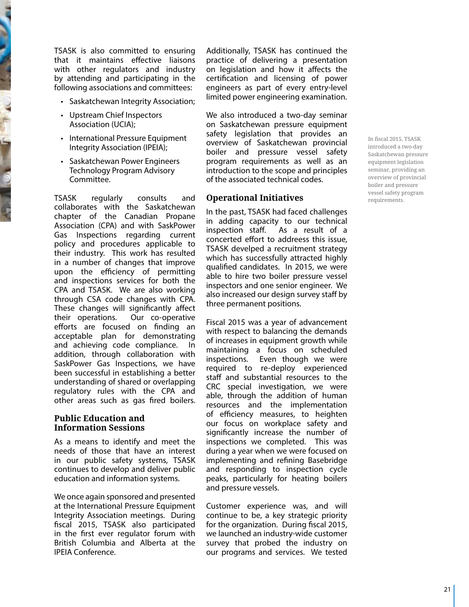TSASK is also committed to ensuring that it maintains effective liaisons with other regulators and industry by attending and participating in the following associations and committees:

- • Saskatchewan Integrity Association;
- • Upstream Chief Inspectors Association (UCIA);
- • International Pressure Equipment Integrity Association (IPEIA);
- Saskatchewan Power Engineers Technology Program Advisory Committee.

TSASK regularly consults and collaborates with the Saskatchewan chapter of the Canadian Propane Association (CPA) and with SaskPower Gas Inspections regarding current policy and procedures applicable to their industry. This work has resulted in a number of changes that improve upon the efficiency of permitting and inspections services for both the CPA and TSASK. We are also working through CSA code changes with CPA. These changes will significantly affect their operations. Our co-operative efforts are focused on finding an acceptable plan for demonstrating and achieving code compliance. In addition, through collaboration with SaskPower Gas Inspections, we have been successful in establishing a better understanding of shared or overlapping regulatory rules with the CPA and other areas such as gas fired boilers.

#### **Public Education and Information Sessions**

As a means to identify and meet the needs of those that have an interest in our public safety systems, TSASK continues to develop and deliver public education and information systems.

We once again sponsored and presented at the International Pressure Equipment Integrity Association meetings. During fiscal 2015, TSASK also participated in the first ever regulator forum with British Columbia and Alberta at the IPEIA Conference.

Additionally, TSASK has continued the practice of delivering a presentation on legislation and how it affects the certification and licensing of power engineers as part of every entry-level limited power engineering examination.

We also introduced a two-day seminar on Saskatchewan pressure equipment safety legislation that provides an overview of Saskatchewan provincial boiler and pressure vessel safety program requirements as well as an introduction to the scope and principles of the associated technical codes.

### **Operational Initiatives**

In the past, TSASK had faced challenges in adding capacity to our technical<br>inspection staff. As a result of a As a result of a concerted effort to addreess this issue, TSASK develped a recruitment strategy which has successfully attracted highly qualified candidates. In 2015, we were able to hire two boiler pressure vessel inspectors and one senior engineer. We also increased our design survey staff by three permanent positions.

Fiscal 2015 was a year of advancement with respect to balancing the demands of increases in equipment growth while maintaining a focus on scheduled inspections. Even though we were required to re-deploy experienced staff and substantial resources to the CRC special investigation, we were able, through the addition of human resources and the implementation of efficiency measures, to heighten our focus on workplace safety and significantly increase the number of inspections we completed. This was during a year when we were focused on implementing and refining Basebridge and responding to inspection cycle peaks, particularly for heating boilers and pressure vessels.

Customer experience was, and will continue to be, a key strategic priority for the organization. During fiscal 2015, we launched an industry-wide customer survey that probed the industry on our programs and services. We tested In fiscal 2015, TSASK introduced a two-day Saskatchewan pressure equipment legislation seminar, providing an overview of provincial boiler and pressure vessel safety program requirements.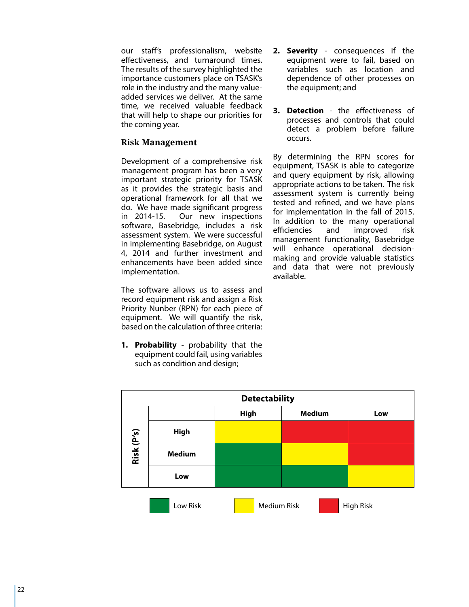our staff's professionalism, website effectiveness, and turnaround times. The results of the survey highlighted the importance customers place on TSASK's role in the industry and the many valueadded services we deliver. At the same time, we received valuable feedback that will help to shape our priorities for the coming year.

### **Risk Management**

Development of a comprehensive risk management program has been a very important strategic priority for TSASK as it provides the strategic basis and operational framework for all that we do. We have made significant progress in 2014-15. Our new inspections software, Basebridge, includes a risk assessment system. We were successful in implementing Basebridge, on August 4, 2014 and further investment and enhancements have been added since implementation.

The software allows us to assess and record equipment risk and assign a Risk Priority Nunber (RPN) for each piece of equipment. We will quantify the risk. based on the calculation of three criteria:

**1. Probability** - probability that the equipment could fail, using variables such as condition and design;

- **2. Severity** consequences if the equipment were to fail, based on variables such as location and dependence of other processes on the equipment; and
- **3. Detection** the effectiveness of processes and controls that could detect a problem before failure occurs.

By determining the RPN scores for equipment, TSASK is able to categorize and query equipment by risk, allowing appropriate actions to be taken. The risk assessment system is currently being tested and refined, and we have plans for implementation in the fall of 2015. In addition to the many operational efficiencies and improved risk management functionality, Basebridge will enhance operational decisionmaking and provide valuable statistics and data that were not previously available.

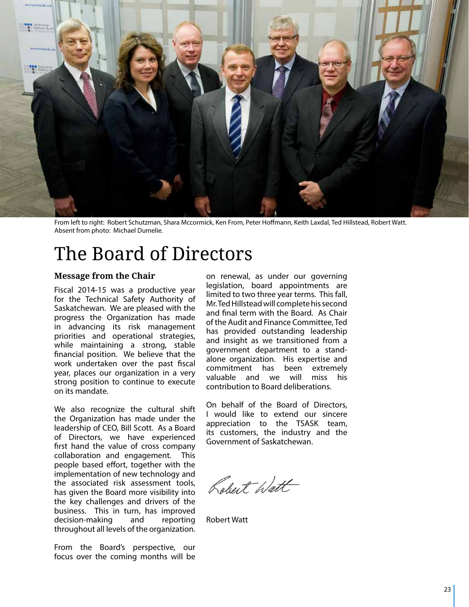

From left to right: Robert Schutzman, Shara Mccormick, Ken From, Peter Hoffmann, Keith Laxdal, Ted Hillstead, Robert Watt. Absent from photo: Michael Dumelie.

### The Board of Directors

### **Message from the Chair**

Fiscal 2014-15 was a productive year for the Technical Safety Authority of Saskatchewan. We are pleased with the progress the Organization has made in advancing its risk management priorities and operational strategies, while maintaining a strong, stable financial position. We believe that the work undertaken over the past fiscal year, places our organization in a very strong position to continue to execute on its mandate.

We also recognize the cultural shift the Organization has made under the leadership of CEO, Bill Scott. As a Board of Directors, we have experienced first hand the value of cross company collaboration and engagement. This people based effort, together with the implementation of new technology and the associated risk assessment tools, has given the Board more visibility into the key challenges and drivers of the business. This in turn, has improved decision-making and reporting throughout all levels of the organization.

From the Board's perspective, our focus over the coming months will be

on renewal, as under our governing legislation, board appointments are limited to two three year terms. This fall, Mr. Ted Hillstead will complete his second and final term with the Board. As Chair of the Audit and Finance Committee, Ted has provided outstanding leadership and insight as we transitioned from a government department to a standalone organization. His expertise and commitment has been extremely valuable and we will miss his contribution to Board deliberations.

On behalf of the Board of Directors, I would like to extend our sincere appreciation to the TSASK team, its customers, the industry and the Government of Saskatchewan.

Robert Watt

Robert Watt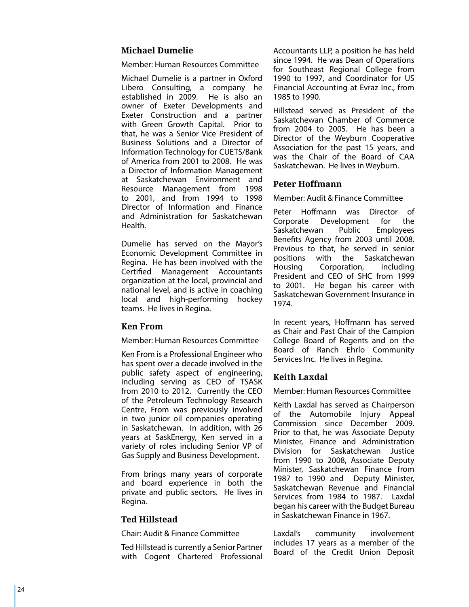### **Michael Dumelie**

Member: Human Resources Committee

Michael Dumelie is a partner in Oxford Libero Consulting, a company he established in 2009. He is also an owner of Exeter Developments and Exeter Construction and a partner with Green Growth Capital. Prior to that, he was a Senior Vice President of Business Solutions and a Director of Information Technology for CUETS/Bank of America from 2001 to 2008. He was a Director of Information Management at Saskatchewan Environment and Resource Management from 1998 to 2001, and from 1994 to 1998 Director of Information and Finance and Administration for Saskatchewan Health.

Dumelie has served on the Mayor's Economic Development Committee in Regina. He has been involved with the Certified Management Accountants organization at the local, provincial and national level, and is active in coaching local and high-performing hockey teams. He lives in Regina.

### **Ken From**

Member: Human Resources Committee

Ken From is a Professional Engineer who has spent over a decade involved in the public safety aspect of engineering, including serving as CEO of TSASK from 2010 to 2012. Currently the CEO of the Petroleum Technology Research Centre, From was previously involved in two junior oil companies operating in Saskatchewan. In addition, with 26 years at Sask Energy, Ken served in a variety of roles including Senior VP of Gas Supply and Business Development.

From brings many years of corporate and board experience in both the private and public sectors. He lives in Regina.

### **Ted Hillstead**

Chair: Audit & Finance Committee

Ted Hillstead is currently a Senior Partner with Cogent Chartered Professional Accountants LLP, a position he has held since 1994. He was Dean of Operations for Southeast Regional College from 1990 to 1997, and Coordinator for US Financial Accounting at Evraz Inc., from

1985 to 1990.<br>Hillstead served as President of the Saskatchewan Chamber of Commerce from 2004 to 2005. He has been a Director of the Weyburn Cooperative Association for the past 15 years, and was the Chair of the Board of CAA Saskatchewan. He lives in Weyburn.

### **Peter H offmann**

Member: Audit & Finance Committee

Peter Hoffmann was Director of Corporate Development for the Saskatchewan Public Employees Benefits Agency from 2003 until 2008. Previous to that, he served in senior positions with the Saskatchewan Housing Corporation, including President and CEO of SHC from 1999 to 2001. He began his career with Saskatchewan Government Insurance in 1974.

In recent years, Hoffmann has served as Chair and Past Chair of the Campion College Board of Regents and on the Board of Ranch Ehrlo Community Services Inc. He lives in Regina.

### **Keith Laxdal**

Member: Human Resources Committee

Keith Laxdal has served as Chairperson of the Automobile Injury Appeal Commission since December 2009. Prior to that, he was Associate Deputy Minister, Finance and Administration Division for Saskatchewan Justice from 1990 to 2008, Associate Deputy Minister, Saskatchewan Finance from 1987 to 1990 and Deputy Minister, Saskatchewan Revenue and Financial Services from 1984 to 1987. Laxdal began his career with the Budget Bureau in Saskatchewan Finance in 1967.

Laxdal's community involvement includes 17 years as a member of the Board of the Credit Union Deposit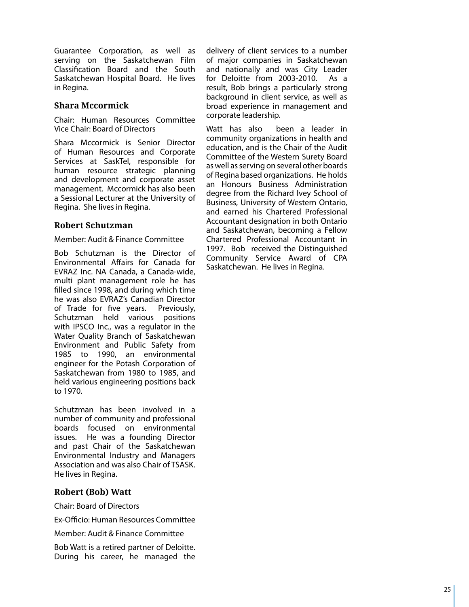Guarantee Corporation, as well as serving on the Saskatchewan Film Classification Board and the South Saskatchewan Hospital Board. He lives in Regina.

### **Shara Mccormick**

Chair: Human Resources Committee Vice Chair: Board of Directors

Shara Mccormick is Senior Director of Human Resources and Corporate Services at SaskTel, responsible for human resource strategic planning and development and corporate asset management. Mccormick has also been a Sessional Lecturer at the University of Regina. She lives in Regina.

### **Robert Schutzman**

#### Member: Audit & Finance Committee

Bob Schutzman is the Director of Environmental Affairs for Canada for EVRAZ Inc. NA Canada, a Canada-wide, multi plant management role he has filled since 1998, and during which time he was also EVRAZ's Canadian Director of Trade for five years. Previously, Schutzman held various positions with IPS C O Inc., was a regulator in the Water Quality Branch of Saskatchewan Environment and Public Safety from 1985 to 1990, an environmental engineer for the Potash Corporation of Saskatchewan from 1980 to 1985, and held various engineering positions back to 1970.

Schutzman has been involved in a number of community and professional boards focused on environmental issues. He was a founding Director and past Chair of the Saskatchewan Environmental Industry and Managers Association and was also Chair of TSASK. He lives in Regina.

### **Robert (Bob) Watt**

Chair: Board of Directors

Ex-Officio: Human Resources Committee

Member: Audit & Finance Committee

Bob Watt is a retired partner of Deloitte. During his career, he managed the

delivery of client services to a number of major companies in Saskatchewan and nationally and was City Leader for Deloitte from 2003-2010. As a result, Bob brings a particularly strong background in client service, as well as broad experience in management and corporate leadership.

Watt has also been a leader in community organizations in health and education, and is the Chair of the Audit Committee of the Western Surety Board as well as serving on several other boards of Regina based organizations. He holds an Honours Business Administration degree from the Richard Ivey School of Business, University of Western Ontario, and earned his Chartered Professional Accountant designation in both Ontario and Saskatchewan, becoming a Fellow Chartered Professional Accountant in 1997. Bob received the Distinguished Community Service Award of CP Saskatchewan. He lives in Regina.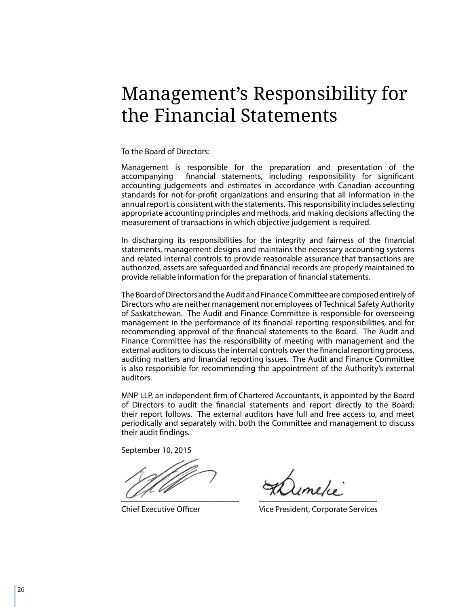### Management's Responsibility for the Financial Statements

#### To the Board of Directors:

Management is responsible for the preparation and presentation of the accompanying financial statements, including responsibility for significant accounting judgements and estimates in accordance with Canadian accounting standards for not-for-profit organizations and ensuring that all information in the annual report is consistent with the statements. This responsibility includes selecting appropriate accounting principles and methods, and making decisions affecting the measurement of transactions in which objective judgement is required.

In discharging its responsibilities for the integrity and fairness of the financial statements, management designs and maintains the necessary accounting systems and related internal controls to provide reasonable assurance that transactions are authorized, assets are safeguarded and financial records are properly maintained to provide reliable information for the preparation of financial statements.

The Board of Directors and the Audit and Finance Committee are composed entirely of Directors who are neither management nor employees of Technical Safety Authority of Saskatchewan. The Audit and Finance Committee is responsible for overseeing management in the performance of its financial reporting responsibilities, and for recommending approval of the financial statements to the Board. The Audit and Finance Committee has the responsibility of meeting with management and the external auditors to discuss the internal controls over the financial reporting process, auditing matters and financial reporting issues. The Audit and Finance Committee is also responsible for recommending the appointment of the Authority's external auditors.

MNP LLP, an independent firm of Chartered Accountants, is appointed by the Board of Directors to audit the financial statements and report directly to the Board; their report follows. The external auditors have full and free access to, and meet periodically and separately with, both the Committee and management to discuss their audit findings.

September 10, 2015

 $\frac{1}{2}$   $\frac{1}{2}$   $\frac{1}{2}$   $\frac{1}{2}$   $\frac{1}{2}$   $\frac{1}{2}$   $\frac{1}{2}$   $\frac{1}{2}$   $\frac{1}{2}$   $\frac{1}{2}$   $\frac{1}{2}$   $\frac{1}{2}$   $\frac{1}{2}$   $\frac{1}{2}$   $\frac{1}{2}$   $\frac{1}{2}$   $\frac{1}{2}$   $\frac{1}{2}$   $\frac{1}{2}$   $\frac{1}{2}$   $\frac{1}{2}$   $\frac{1}{2}$ 

Chief Executive Officer Vice President, Corporate Services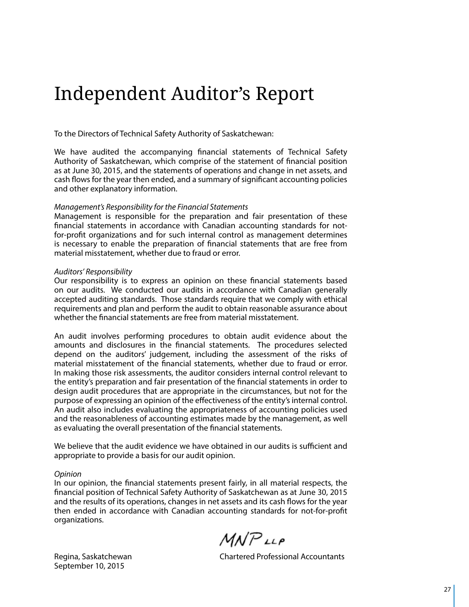### Independent Auditor's Report

To the Directors of Technical Safety Authority of Saskatchewan:

We have audited the accompanying financial statements of Technical Safety Authority of Saskatchewan, which comprise of the statement of financial position as at June 30, 2015, and the statements of operations and change in net assets, and cash flows for the year then ended, and a summary of significant accounting policies and other explanatory information.

#### *Management's Responsibility for the Financial Statements*

Management is responsible for the preparation and fair presentation of these financial statements in accordance with Canadian accounting standards for notfor-profit organizations and for such internal control as management determines is necessary to enable the preparation of financial statements that are free from material misstatement, whether due to fraud or error.

#### *Auditors' Responsibility*

Our responsibility is to express an opinion on these financial statements based on our audits. We conducted our audits in accordance with Canadian generally accepted auditing standards. Those standards require that we comply with ethical requirements and plan and perform the audit to obtain reasonable assurance about whether the financial statements are free from material misstatement.

An audit involves performing procedures to obtain audit evidence about the amounts and disclosures in the financial statements. The procedures selected depend on the auditors' judgement, including the assessment of the risks of material misstatement of the financial statements, whether due to fraud or error. In making those risk assessments, the auditor considers internal control relevant to the entity's preparation and fair presentation of the financial statements in order to design audit procedures that are appropriate in the circumstances, but not for the purpose of expressing an opinion of the effectiveness of the entity's internal control. An audit also includes evaluating the appropriateness of accounting policies used and the reasonableness of accounting estimates made by the management, as well as evaluating the overall presentation of the financial statements.

We believe that the audit evidence we have obtained in our audits is sufficient and appropriate to provide a basis for our audit opinion.

#### *Opinion*

In our opinion, the financial statements present fairly, in all material respects, the financial position of Technical Safety Authority of Saskatchewan as at June 30, 2015 and the results of its operations, changes in net assets and its cash flows for the year then ended in accordance with Canadian accounting standards for not-for-profit organizations.

 $MNP$ LLP

September 10, 2015

Regina, Saskatchewan Chartered Professional Accountants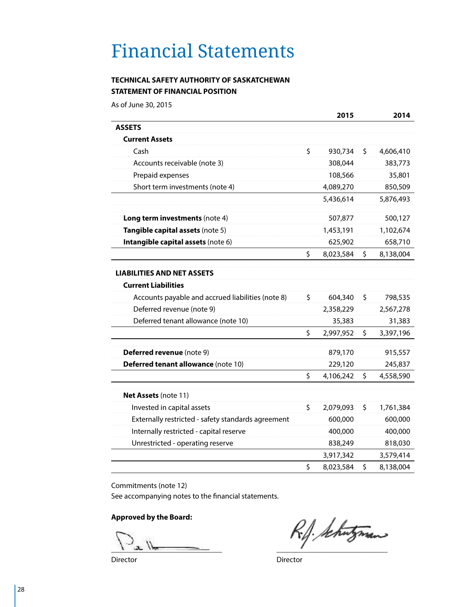# Financial Statements

### **TECHNICAL SAFETY AUTHORITY OF SASKATCHEWAN STATEMENT OF FINANCIAL POSITION**

As of June 30, 2015

|                                                    |         | 2015      |         | 2014      |
|----------------------------------------------------|---------|-----------|---------|-----------|
| <b>ASSETS</b>                                      |         |           |         |           |
| <b>Current Assets</b>                              |         |           |         |           |
| Cash                                               | \$      | 930,734   | \$      | 4,606,410 |
| Accounts receivable (note 3)                       |         | 308,044   |         | 383,773   |
| Prepaid expenses                                   |         | 108,566   |         | 35,801    |
| Short term investments (note 4)                    |         | 4,089,270 |         | 850,509   |
|                                                    |         | 5,436,614 |         | 5,876,493 |
| Long term investments (note 4)                     |         | 507,877   |         | 500,127   |
| Tangible capital assets (note 5)                   |         | 1,453,191 |         | 1,102,674 |
| Intangible capital assets (note 6)                 |         | 625,902   |         | 658,710   |
|                                                    | \$      | 8,023,584 | \$      | 8,138,004 |
| <b>LIABILITIES AND NET ASSETS</b>                  |         |           |         |           |
| <b>Current Liabilities</b>                         |         |           |         |           |
| Accounts payable and accrued liabilities (note 8)  | \$      | 604,340   | \$      | 798,535   |
| Deferred revenue (note 9)                          |         | 2,358,229 |         | 2,567,278 |
| Deferred tenant allowance (note 10)                |         | 35,383    |         | 31,383    |
|                                                    | \$      | 2,997,952 | \$      | 3,397,196 |
| Deferred revenue (note 9)                          |         | 879,170   |         | 915,557   |
| Deferred tenant allowance (note 10)                |         | 229,120   |         | 245,837   |
|                                                    | \$      | 4,106,242 | \$      | 4,558,590 |
| Net Assets (note 11)                               |         |           |         |           |
| Invested in capital assets                         | \$      | 2,079,093 | \$      | 1,761,384 |
| Externally restricted - safety standards agreement |         | 600,000   |         | 600,000   |
| Internally restricted - capital reserve            | 400,000 |           | 400,000 |           |
| Unrestricted - operating reserve                   |         | 838,249   |         | 818,030   |
|                                                    |         | 3,917,342 |         | 3,579,414 |
|                                                    | \$      | 8,023,584 | \$      | 8,138,004 |

Commitments (note 12)

See accompanying notes to the financial statements.

**Approved by the Board:**

 $\Box$   $\Box$  the set of  $\Box$ 

Director **Director** Director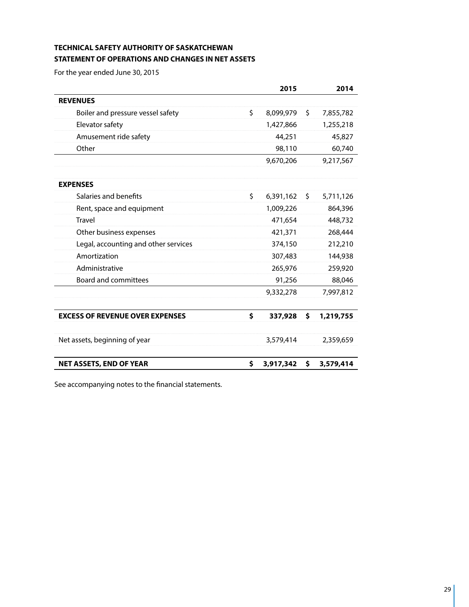### **TECHNICAL SAFETY AUTHORITY OF SASKATCHEWAN STATEMENT OF OPERATIONS AND CHANGES IN NET ASSETS**

For the year ended June 30, 2015

|                                        | 2015            | 2014            |
|----------------------------------------|-----------------|-----------------|
| <b>REVENUES</b>                        |                 |                 |
| Boiler and pressure vessel safety      | \$<br>8,099,979 | \$<br>7,855,782 |
| Elevator safety                        | 1,427,866       | 1,255,218       |
| Amusement ride safety                  | 44,251          | 45,827          |
| Other                                  | 98,110          | 60,740          |
|                                        | 9,670,206       | 9,217,567       |
| <b>EXPENSES</b>                        |                 |                 |
| Salaries and benefits                  | \$<br>6,391,162 | \$<br>5,711,126 |
| Rent, space and equipment              | 1,009,226       | 864,396         |
| <b>Travel</b>                          | 471,654         | 448,732         |
| Other business expenses                | 421,371         | 268,444         |
| Legal, accounting and other services   | 374,150         | 212,210         |
| Amortization                           | 307,483         | 144,938         |
| Administrative                         | 265,976         | 259,920         |
| <b>Board and committees</b>            | 91,256          | 88,046          |
|                                        | 9,332,278       | 7,997,812       |
| <b>EXCESS OF REVENUE OVER EXPENSES</b> | \$<br>337,928   | \$<br>1,219,755 |
| Net assets, beginning of year          | 3,579,414       | 2,359,659       |
| <b>NET ASSETS, END OF YEAR</b>         | \$<br>3,917,342 | \$<br>3,579,414 |

See accompanying notes to the financial statements.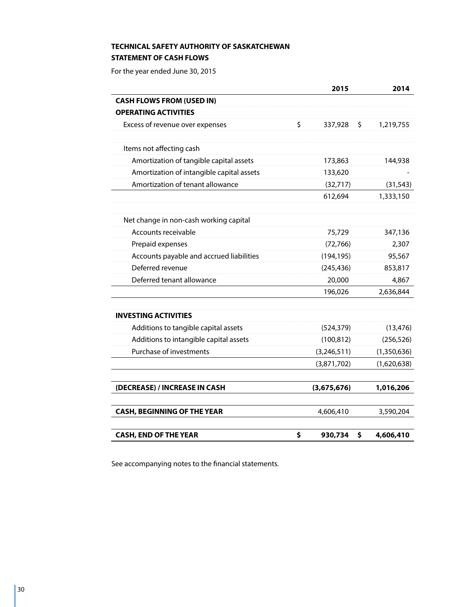### **TECHNICAL SAFETY AUTHORITY OF SASKATCHEWAN STATEMENT OF CASH FLOWS**

For the year ended June 30, 2015

|                                           | 2015                | 2014        |
|-------------------------------------------|---------------------|-------------|
| <b>CASH FLOWS FROM (USED IN)</b>          |                     |             |
| <b>OPERATING ACTIVITIES</b>               |                     |             |
| Excess of revenue over expenses           | \$<br>337,928<br>\$ | 1,219,755   |
| Items not affecting cash                  |                     |             |
| Amortization of tangible capital assets   | 173,863             | 144,938     |
| Amortization of intangible capital assets | 133,620             |             |
| Amortization of tenant allowance          | (32, 717)           | (31, 543)   |
|                                           | 612,694             | 1,333,150   |
| Net change in non-cash working capital    |                     |             |
| Accounts receivable                       | 75,729              | 347,136     |
| Prepaid expenses                          | (72, 766)           | 2,307       |
| Accounts payable and accrued liabilities  | (194, 195)          | 95,567      |
| Deferred revenue                          | (245, 436)          | 853,817     |
| Deferred tenant allowance                 | 20,000              | 4,867       |
|                                           | 196,026             | 2,636,844   |
| <b>INVESTING ACTIVITIES</b>               |                     |             |
| Additions to tangible capital assets      | (524, 379)          | (13, 476)   |
| Additions to intangible capital assets    | (100, 812)          | (256, 526)  |
| Purchase of investments                   | (3, 246, 511)       | (1,350,636) |
|                                           | (3,871,702)         | (1,620,638) |
| (DECREASE) / INCREASE IN CASH             | (3,675,676)         | 1,016,206   |
| <b>CASH, BEGINNING OF THE YEAR</b>        | 4,606,410           | 3,590,204   |
| <b>CASH, END OF THE YEAR</b>              | \$<br>930,734<br>\$ | 4,606,410   |

See accompanying notes to the financial statements.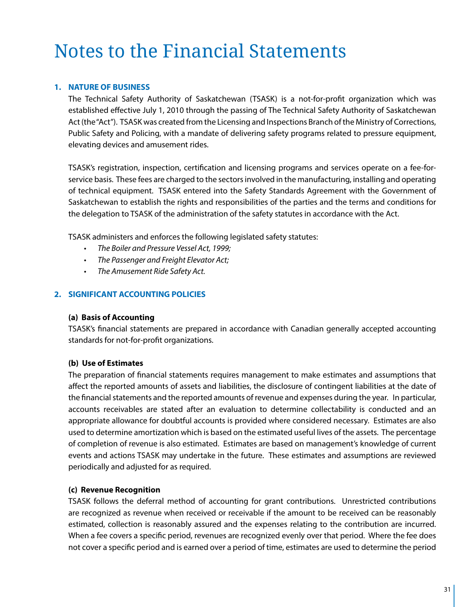### **1. NATURE OF BUSINESS**

The Technical Safety Authority of Saskatchewan (TSASK) is a not-for-profit organization which was established effective July 1, 2010 through the passing of The Technical Safety Authority of Saskatchewan Act (the "Act"). TSASK was created from the Licensing and Inspections Branch of the Ministry of Corrections, Public Safety and Policing, with a mandate of delivering safety programs related to pressure equipment, elevating devices and amusement rides.

TSASK's registration, inspection, certification and licensing programs and services operate on a fee-forservice basis. These fees are charged to the sectors involved in the manufacturing, installing and operating of technical equipment. TSASK entered into the Safety Standards Agreement with the Government of Saskatchewan to establish the rights and responsibilities of the parties and the terms and conditions for the delegation to TSASK of the administration of the safety statutes in accordance with the Act.

TSASK administers and enforces the following legislated safety statutes:

- • *The Boiler and Pressure Vessel Act, 1999;*
- • *The Passenger and Freight Elevator Act;*
- • *The Amusement Ride Safety Act.*

### **2. SIGNIFICANT ACCOUNTING POLICIES**

### **(a) Basis of Accounting**

TSASK's financial statements are prepared in accordance with Canadian generally accepted accounting standards for not-for-profit organizations.

### **(b) Use of Estimates**

The preparation of financial statements requires management to make estimates and assumptions that affect the reported amounts of assets and liabilities, the disclosure of contingent liabilities at the date of the financial statements and the reported amounts of revenue and expenses during the year. In particular, accounts receivables are stated after an evaluation to determine collectability is conducted and an appropriate allowance for doubtful accounts is provided where considered necessary. Estimates are also used to determine amortization which is based on the estimated useful lives of the assets. The percentage of completion of revenue is also estimated. Estimates are based on management's knowledge of current events and actions TSASK may undertake in the future. These estimates and assumptions are reviewed periodically and adjusted for as required.

### **(c) Revenue Recognition**

TSASK follows the deferral method of accounting for grant contributions. Unrestricted contributions are recognized as revenue when received or receivable if the amount to be received can be reasonably estimated, collection is reasonably assured and the expenses relating to the contribution are incurred. When a fee covers a specific period, revenues are recognized evenly over that period. Where the fee does not cover a specific period and is earned over a period of time, estimates are used to determine the period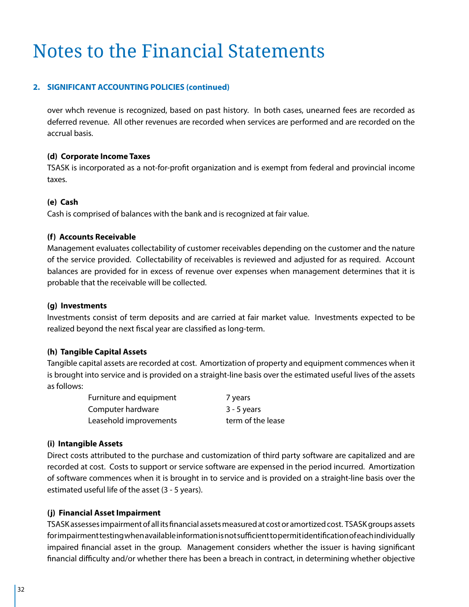### **2. SIGNIFICANT ACCOUNTING POLICIES (continued)**

over whch revenue is recognized, based on past history. In both cases, unearned fees are recorded as deferred revenue. All other revenues are recorded when services are performed and are recorded on the accrual basis.

### **(d) Corporate Income Taxes**

TSASK is incorporated as a not-for-profit organization and is exempt from federal and provincial income taxes.

### **(e) Cash**

Cash is comprised of balances with the bank and is recognized at fair value.

### **(f) Accounts Receivable**

Management evaluates collectability of customer receivables depending on the customer and the nature of the service provided. Collectability of receivables is reviewed and adjusted for as required. Account balances are provided for in excess of revenue over expenses when management determines that it is probable that the receivable will be collected.

### **(g) Investments**

Investments consist of term deposits and are carried at fair market value. Investments expected to be realized beyond the next fiscal year are classified as long-term.

### **(h) Tangible Capital Assets**

Tangible capital assets are recorded at cost. Amortization of property and equipment commences when it is brought into service and is provided on a straight-line basis over the estimated useful lives of the assets as follows:

| Furniture and equipment | 7 years           |
|-------------------------|-------------------|
| Computer hardware       | $3 - 5$ years     |
| Leasehold improvements  | term of the lease |

### **(i) Intangible Assets**

Direct costs attributed to the purchase and customization of third party software are capitalized and are recorded at cost. Costs to support or service software are expensed in the period incurred. Amortization of software commences when it is brought in to service and is provided on a straight-line basis over the estimated useful life of the asset (3 - 5 years).

### **(j) Financial Asset Impairment**

TSASK assesses impairment of all its financial assets measured at cost or amortized cost. TSASK groups assets for impairment testing when available information is not sufficient to permit identification of each individually impaired financial asset in the group. Management considers whether the issuer is having significant financial difficulty and/or whether there has been a breach in contract, in determining whether objective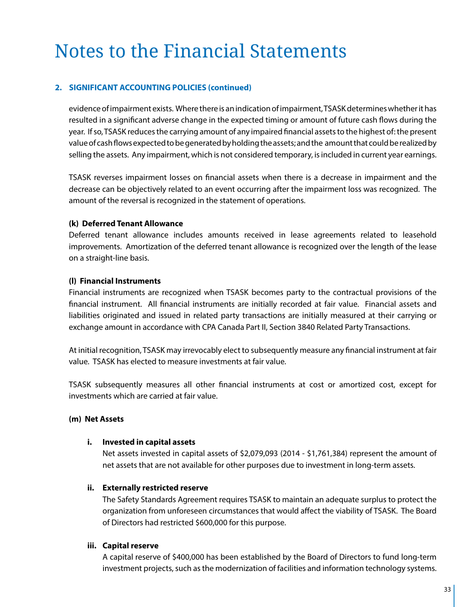### **2. SIGNIFICANT ACCOUNTING POLICIES (continued)**

evidence of impairment exists. Where there is an indication of impairment, TSASK determines whether it has resulted in a significant adverse change in the expected timing or amount of future cash flows during the year. If so, TSASK reduces the carrying amount of any impaired financial assets to the highest of: the present value of cash flows expected to be generated by holding the assets; and the amount that could be realized by selling the assets. Any impairment, which is not considered temporary, is included in current year earnings.

TSASK reverses impairment losses on financial assets when there is a decrease in impairment and the decrease can be objectively related to an event occurring after the impairment loss was recognized. The amount of the reversal is recognized in the statement of operations.

### **(k) Deferred Tenant Allowance**

Deferred tenant allowance includes amounts received in lease agreements related to leasehold improvements. Amortization of the deferred tenant allowance is recognized over the length of the lease on a straight-line basis.

### **(l) Financial Instruments**

Financial instruments are recognized when TSASK becomes party to the contractual provisions of the financial instrument. All financial instruments are initially recorded at fair value. Financial assets and liabilities originated and issued in related party transactions are initially measured at their carrying or exchange amount in accordance with CPA Canada Part II, Section 3840 Related Party Transactions.

At initial recognition, TSASK may irrevocably elect to subsequently measure any financial instrument at fair value. TSASK has elected to measure investments at fair value.

TSASK subsequently measures all other financial instruments at cost or amortized cost, except for investments which are carried at fair value.

### **(m) Net Assets**

### **i. Invested in capital assets**

Net assets invested in capital assets of \$2,079,093 (2014 - \$1,761,384) represent the amount of net assets that are not available for other purposes due to investment in long-term assets.

### **ii. Externally restricted reserve**

The Safety Standards Agreement requires TSASK to maintain an adequate surplus to protect the organization from unforeseen circumstances that would affect the viability of TSASK. The Board of Directors had restricted \$600,000 for this purpose.

### **iii. Capital reserve**

A capital reserve of \$400,000 has been established by the Board of Directors to fund long-term investment projects, such as the modernization of facilities and information technology systems.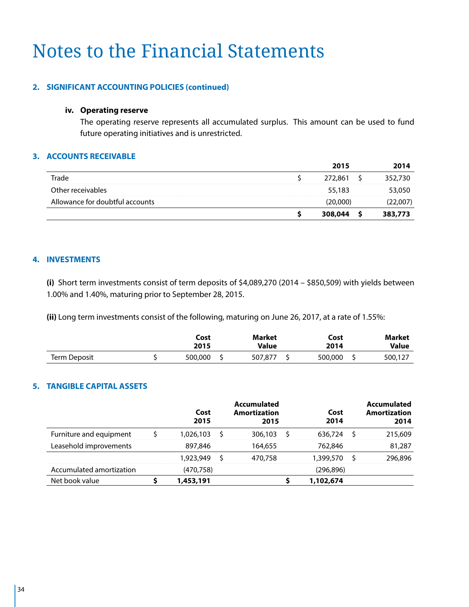### **2. SIGNIFICANT ACCOUNTING POLICIES (continued)**

### **iv. Operating reserve**

The operating reserve represents all accumulated surplus. This amount can be used to fund future operating initiatives and is unrestricted.

### **3. ACCOUNTS RECEIVABLE**

|                                 | 2015     | 2014     |
|---------------------------------|----------|----------|
| Trade                           | 272,861  | 352,730  |
| Other receivables               | 55,183   | 53,050   |
| Allowance for doubtful accounts | (20,000) | (22,007) |
|                                 | 308,044  | 383,773  |

### **4. INVESTMENTS**

**(i)** Short term investments consist of term deposits of \$4,089,270 (2014 – \$850,509) with yields between 1.00% and 1.40%, maturing prior to September 28, 2015.

**(ii)** Long term investments consist of the following, maturing on June 26, 2017, at a rate of 1.55%:

|              | Cost<br>2015 | Market<br>Value | Cost<br>2014 | <b>Market</b><br><b>Value</b> |
|--------------|--------------|-----------------|--------------|-------------------------------|
| Term Deposit | 500,000      | 507,877         | 500,000      | 500,127                       |

### **5. TANGIBLE CAPITAL ASSETS**

|                          | Cost<br>2015 | <b>Accumulated</b><br><b>Amortization</b><br>2015 | Cost<br>2014 |   | <b>Accumulated</b><br><b>Amortization</b><br>2014 |
|--------------------------|--------------|---------------------------------------------------|--------------|---|---------------------------------------------------|
| Furniture and equipment  | 1,026,103    | 306,103                                           | 636,724      |   | 215,609                                           |
| Leasehold improvements   | 897,846      | 164,655                                           | 762,846      |   | 81,287                                            |
|                          | 1,923,949    | 470,758                                           | 1,399,570    | S | 296,896                                           |
| Accumulated amortization | (470, 758)   |                                                   | (296, 896)   |   |                                                   |
| Net book value           | 1,453,191    |                                                   | 1,102,674    |   |                                                   |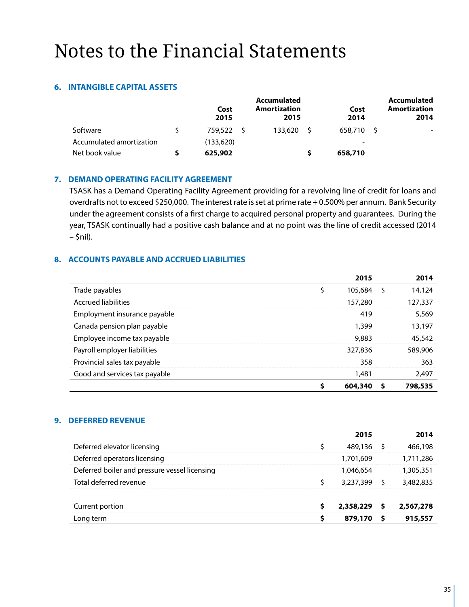### **6. INTANGIBLE CAPITAL ASSETS**

|                          | Cost<br>2015 | Accumulated<br>Amortization<br>2015 | Cost<br>2014             | Accumulated<br>Amortization<br>2014 |
|--------------------------|--------------|-------------------------------------|--------------------------|-------------------------------------|
| Software                 | 759,522      | 133,620                             | 658,710                  |                                     |
| Accumulated amortization | (133,620)    |                                     | $\overline{\phantom{0}}$ |                                     |
| Net book value           | 625,902      |                                     | 658,710                  |                                     |

### **7. DEMAND OPERATING FACILITY AGREEMENT**

TSASK has a Demand Operating Facility Agreement providing for a revolving line of credit for loans and overdrafts not to exceed \$250,000. The interest rate is set at prime rate + 0.500% per annum. Bank Security under the agreement consists of a first charge to acquired personal property and guarantees. During the year, TSASK continually had a positive cash balance and at no point was the line of credit accessed (2014  $-$  \$nil).

### **8. ACCOUNTS PAYABLE AND ACCRUED LIABILITIES**

|                               |    | 2015    |   | 2014    |
|-------------------------------|----|---------|---|---------|
| Trade payables                | \$ | 105,684 | S | 14,124  |
| <b>Accrued liabilities</b>    |    | 157,280 |   | 127,337 |
| Employment insurance payable  |    | 419     |   | 5,569   |
| Canada pension plan payable   |    | 1,399   |   | 13,197  |
| Employee income tax payable   |    | 9,883   |   | 45,542  |
| Payroll employer liabilities  |    | 327,836 |   | 589,906 |
| Provincial sales tax payable  |    | 358     |   | 363     |
| Good and services tax payable |    | 1,481   |   | 2,497   |
|                               | Ś  | 604,340 |   | 798,535 |

### **9. DEFERRED REVENUE**

|                                               |   | 2015      |   | 2014      |
|-----------------------------------------------|---|-----------|---|-----------|
| Deferred elevator licensing                   |   | 489,136   |   | 466,198   |
| Deferred operators licensing                  |   | 1,701,609 |   | 1,711,286 |
| Deferred boiler and pressure vessel licensing |   | 1,046,654 |   | 1,305,351 |
| Total deferred revenue                        |   | 3,237,399 |   | 3,482,835 |
|                                               |   |           |   |           |
| Current portion                               | S | 2,358,229 | S | 2,567,278 |
| Long term                                     | S | 879,170   | s | 915,557   |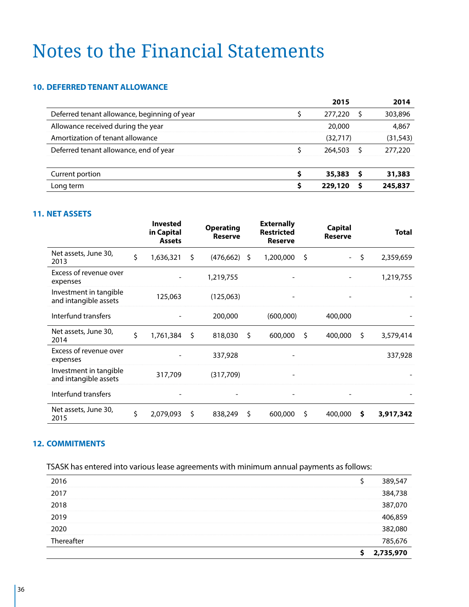#### **10. DEFERRED TENANT ALLOWANCE**

|                                              | 2015     |   | 2014      |
|----------------------------------------------|----------|---|-----------|
| Deferred tenant allowance, beginning of year | 277,220  |   | 303,896   |
| Allowance received during the year           | 20,000   |   | 4,867     |
| Amortization of tenant allowance             | (32,717) |   | (31, 543) |
| Deferred tenant allowance, end of year       | 264,503  |   | 277,220   |
|                                              |          |   |           |
| Current portion                              | 35,383   | s | 31,383    |
| Long term                                    | 229,120  | s | 245,837   |

### **11. NET ASSETS**

|                                                 | <b>Invested</b><br>in Capital<br><b>Assets</b> |    | <b>Operating</b><br><b>Reserve</b> | <b>Externally</b><br><b>Restricted</b><br><b>Reserve</b> | <b>Capital</b><br><b>Reserve</b> |    | <b>Total</b> |
|-------------------------------------------------|------------------------------------------------|----|------------------------------------|----------------------------------------------------------|----------------------------------|----|--------------|
| Net assets, June 30,<br>2013                    | \$<br>1,636,321                                | \$ | $(476, 662)$ \$                    | 1,200,000                                                | \$<br>$\sim$ .                   | \$ | 2,359,659    |
| Excess of revenue over<br>expenses              |                                                |    | 1,219,755                          |                                                          |                                  |    | 1,219,755    |
| Investment in tangible<br>and intangible assets | 125,063                                        |    | (125,063)                          |                                                          |                                  |    |              |
| Interfund transfers                             |                                                |    | 200,000                            | (600,000)                                                | 400,000                          |    |              |
| Net assets, June 30,<br>2014                    | \$<br>1,761,384                                | Ŝ. | 818,030                            | \$<br>600,000                                            | \$<br>400,000                    | \$ | 3,579,414    |
| Excess of revenue over<br>expenses              |                                                |    | 337,928                            |                                                          |                                  |    | 337,928      |
| Investment in tangible<br>and intangible assets | 317,709                                        |    | (317,709)                          |                                                          |                                  |    |              |
| Interfund transfers                             |                                                |    |                                    |                                                          |                                  |    |              |
| Net assets, June 30,<br>2015                    | \$<br>2,079,093                                | Ŝ. | 838,249                            | \$<br>600,000                                            | \$<br>400,000                    | S  | 3,917,342    |

### **12. COMMITMENTS**

TSASK has entered into various lease agreements with minimum annual payments as follows:

|            | 2,735,970 |  |
|------------|-----------|--|
| Thereafter | 785,676   |  |
| 2020       | 382,080   |  |
| 2019       | 406,859   |  |
| 2018       | 387,070   |  |
| 2017       | 384,738   |  |
| 2016       | 389,547   |  |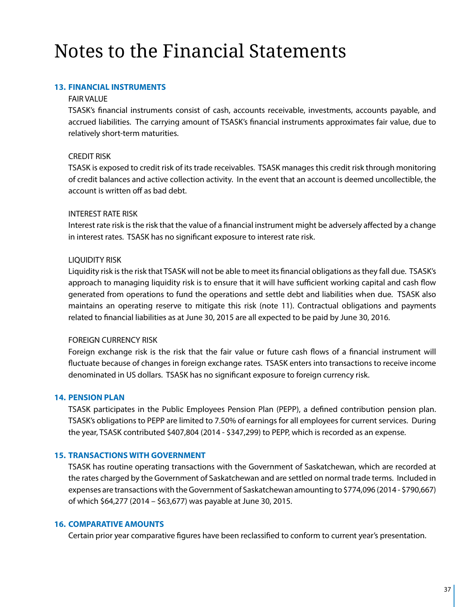### **13. FINANCIAL INSTRUMENTS**

### FAIR VALUE

TSASK's financial instruments consist of cash, accounts receivable, investments, accounts payable, and accrued liabilities. The carrying amount of TSASK's financial instruments approximates fair value, due to relatively short-term maturities.

### CREDIT RISK

TSASK is exposed to credit risk of its trade receivables. TSASK manages this credit risk through monitoring of credit balances and active collection activity. In the event that an account is deemed uncollectible, the account is written off as bad debt.

### INTEREST RATE RISK

Interest rate risk is the risk that the value of a financial instrument might be adversely affected by a change in interest rates. TSASK has no significant exposure to interest rate risk.

### LIQUIDITY RISK

Liquidity risk is the risk that TSASK will not be able to meet its financial obligations as they fall due. TSASK's approach to managing liquidity risk is to ensure that it will have sufficient working capital and cash flow generated from operations to fund the operations and settle debt and liabilities when due. TSASK also maintains an operating reserve to mitigate this risk (note 11). Contractual obligations and payments related to financial liabilities as at June 30, 2015 are all expected to be paid by June 30, 2016.

### FOREIGN CURRENCY RISK

Foreign exchange risk is the risk that the fair value or future cash flows of a financial instrument will fluctuate because of changes in foreign exchange rates. TSASK enters into transactions to receive income denominated in US dollars. TSASK has no significant exposure to foreign currency risk.

### **14. PENSION PLAN**

TSASK participates in the Public Employees Pension Plan (PEPP), a defined contribution pension plan. TSASK's obligations to PEPP are limited to 7.50% of earnings for all employees for current services. During the year, TSASK contributed \$407,804 (2014 - \$347,299) to PEPP, which is recorded as an expense.

### **15. TRANSACTIONS WITH GOVERNMENT**

TSASK has routine operating transactions with the Government of Saskatchewan, which are recorded at the rates charged by the Government of Saskatchewan and are settled on normal trade terms. Included in expenses are transactions with the Government of Saskatchewan amounting to \$774,096 (2014 - \$790,667) of which \$64,277 (2014 – \$63,677) was payable at June 30, 2015.

### **16. COMPARATIVE AMOUNTS**

Certain prior year comparative figures have been reclassified to conform to current year's presentation.